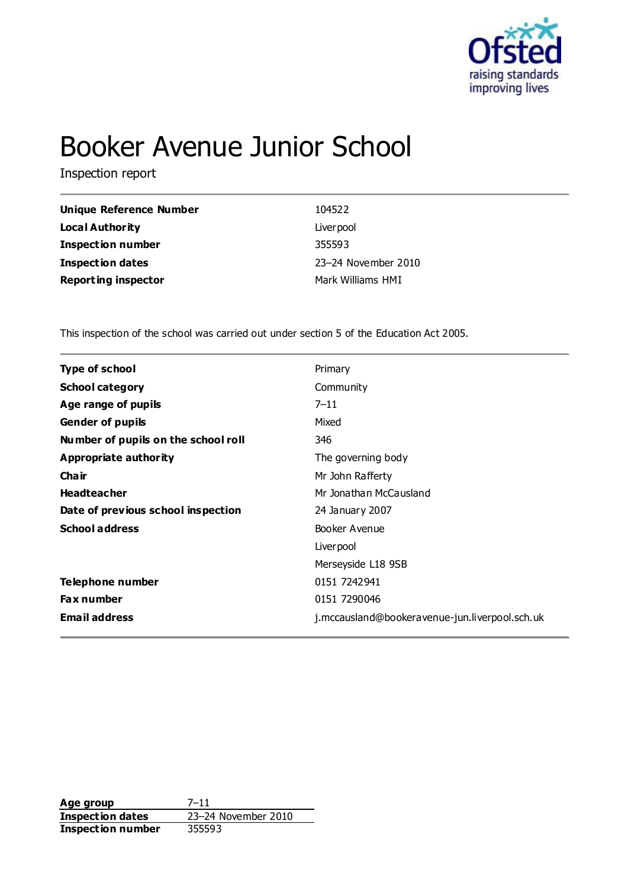

# Booker Avenue Junior School

Inspection report

| <b>Unique Reference Number</b> | 104522              |
|--------------------------------|---------------------|
| <b>Local Authority</b>         | Liver pool          |
| <b>Inspection number</b>       | 355593              |
| Inspection dates               | 23-24 November 2010 |
| <b>Reporting inspector</b>     | Mark Williams HMI   |

This inspection of the school was carried out under section 5 of the Education Act 2005.

| <b>Type of school</b>               | Primary                                        |
|-------------------------------------|------------------------------------------------|
| <b>School category</b>              | Community                                      |
| Age range of pupils                 | $7 - 11$                                       |
| <b>Gender of pupils</b>             | Mixed                                          |
| Number of pupils on the school roll | 346                                            |
| <b>Appropriate authority</b>        | The governing body                             |
| Cha ir                              | Mr John Rafferty                               |
| <b>Headteacher</b>                  | Mr Jonathan McCausland                         |
| Date of previous school inspection  | 24 January 2007                                |
| <b>School address</b>               | Booker Avenue                                  |
|                                     | Liver pool                                     |
|                                     | Merseyside L18 9SB                             |
| Telephone number                    | 0151 7242941                                   |
| Fax number                          | 0151 7290046                                   |
| <b>Email address</b>                | j.mccausland@bookeravenue-jun.liverpool.sch.uk |

**Age group** 7–11 **Inspection dates** 23–24 November 2010<br>**Inspection number** 355593 **Inspection number**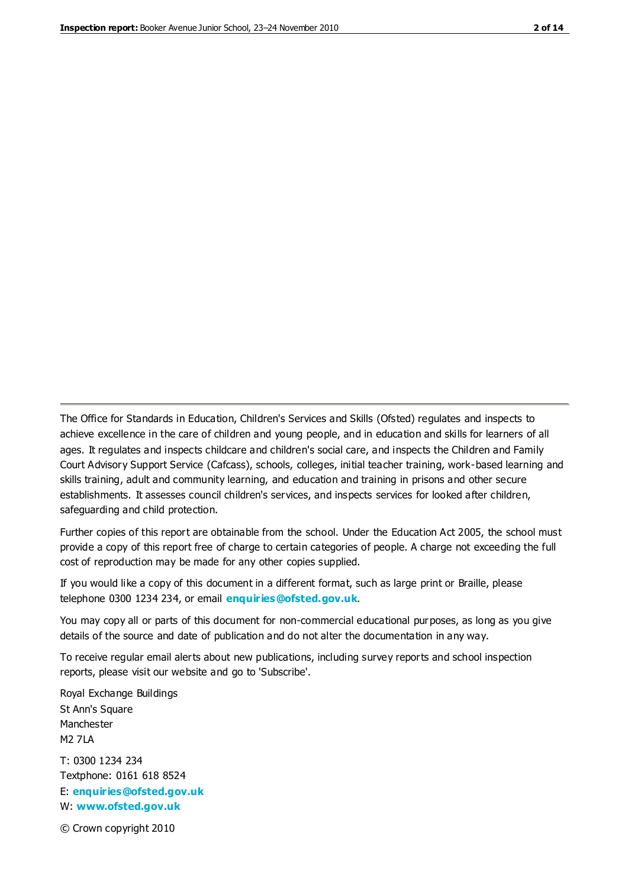The Office for Standards in Education, Children's Services and Skills (Ofsted) regulates and inspects to achieve excellence in the care of children and young people, and in education and skills for learners of all ages. It regulates and inspects childcare and children's social care, and inspects the Children and Family Court Advisory Support Service (Cafcass), schools, colleges, initial teacher training, work-based learning and skills training, adult and community learning, and education and training in prisons and other secure establishments. It assesses council children's services, and inspects services for looked after children, safeguarding and child protection.

Further copies of this report are obtainable from the school. Under the Education Act 2005, the school must provide a copy of this report free of charge to certain categories of people. A charge not exceeding the full cost of reproduction may be made for any other copies supplied.

If you would like a copy of this document in a different format, such as large print or Braille, please telephone 0300 1234 234, or email **[enquiries@ofsted.gov.uk](mailto:enquiries@ofsted.gov.uk)**.

You may copy all or parts of this document for non-commercial educational purposes, as long as you give details of the source and date of publication and do not alter the documentation in any way.

To receive regular email alerts about new publications, including survey reports and school inspection reports, please visit our website and go to 'Subscribe'.

Royal Exchange Buildings St Ann's Square Manchester M2 7LA T: 0300 1234 234 Textphone: 0161 618 8524 E: **[enquiries@ofsted.gov.uk](mailto:enquiries@ofsted.gov.uk)** W: **[www.ofsted.gov.uk](http://www.ofsted.gov.uk/)**

© Crown copyright 2010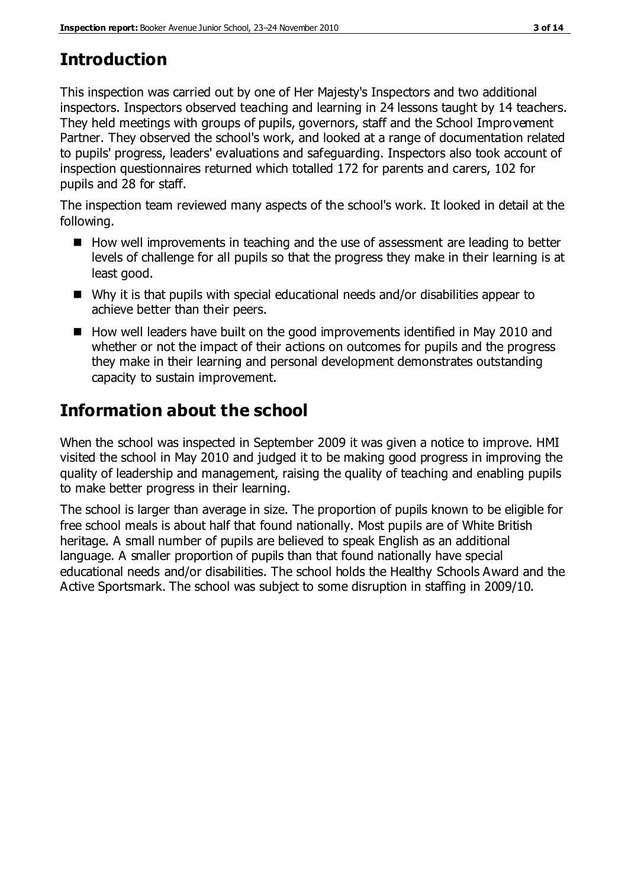# **Introduction**

This inspection was carried out by one of Her Majesty's Inspectors and two additional inspectors. Inspectors observed teaching and learning in 24 lessons taught by 14 teachers. They held meetings with groups of pupils, governors, staff and the School Improvement Partner. They observed the school's work, and looked at a range of documentation related to pupils' progress, leaders' evaluations and safeguarding. Inspectors also took account of inspection questionnaires returned which totalled 172 for parents and carers, 102 for pupils and 28 for staff.

The inspection team reviewed many aspects of the school's work. It looked in detail at the following.

- How well improvements in teaching and the use of assessment are leading to better levels of challenge for all pupils so that the progress they make in their learning is at least good.
- Why it is that pupils with special educational needs and/or disabilities appear to achieve better than their peers.
- $\blacksquare$  How well leaders have built on the good improvements identified in May 2010 and whether or not the impact of their actions on outcomes for pupils and the progress they make in their learning and personal development demonstrates outstanding capacity to sustain improvement.

# **Information about the school**

When the school was inspected in September 2009 it was given a notice to improve. HMI visited the school in May 2010 and judged it to be making good progress in improving the quality of leadership and management, raising the quality of teaching and enabling pupils to make better progress in their learning.

The school is larger than average in size. The proportion of pupils known to be eligible for free school meals is about half that found nationally. Most pupils are of White British heritage. A small number of pupils are believed to speak English as an additional language. A smaller proportion of pupils than that found nationally have special educational needs and/or disabilities. The school holds the Healthy Schools Award and the Active Sportsmark. The school was subject to some disruption in staffing in 2009/10.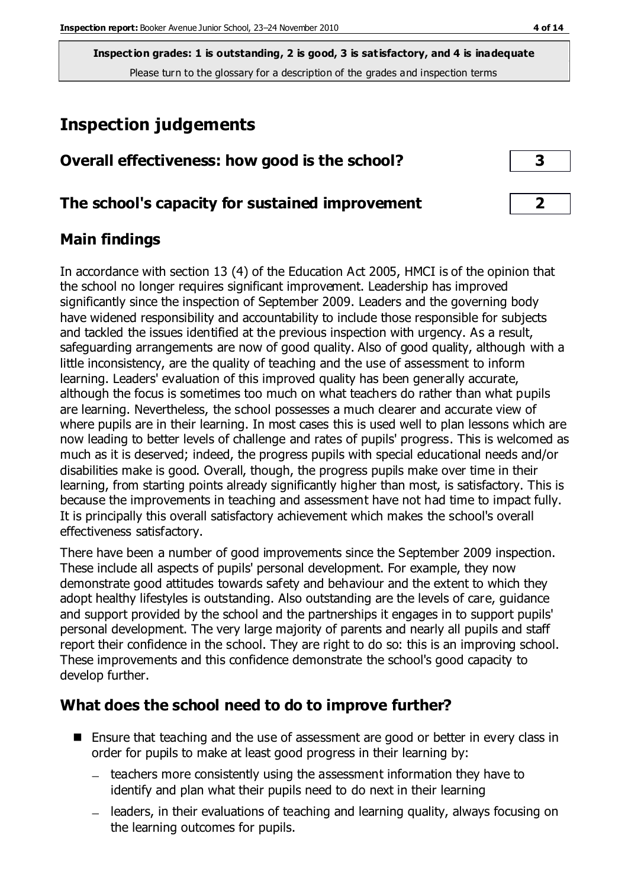# **Inspection judgements**

| Overall effectiveness: how good is the school?  |  |
|-------------------------------------------------|--|
| The school's capacity for sustained improvement |  |

# **Main findings**

In accordance with section 13 (4) of the Education Act 2005, HMCI is of the opinion that the school no longer requires significant improvement. Leadership has improved significantly since the inspection of September 2009. Leaders and the governing body have widened responsibility and accountability to include those responsible for subjects and tackled the issues identified at the previous inspection with urgency. As a result, safeguarding arrangements are now of good quality. Also of good quality, although with a little inconsistency, are the quality of teaching and the use of assessment to inform learning. Leaders' evaluation of this improved quality has been generally accurate, although the focus is sometimes too much on what teachers do rather than what pupils are learning. Nevertheless, the school possesses a much clearer and accurate view of where pupils are in their learning. In most cases this is used well to plan lessons which are now leading to better levels of challenge and rates of pupils' progress. This is welcomed as much as it is deserved; indeed, the progress pupils with special educational needs and/or disabilities make is good. Overall, though, the progress pupils make over time in their learning, from starting points already significantly higher than most, is satisfactory. This is because the improvements in teaching and assessment have not had time to impact fully. It is principally this overall satisfactory achievement which makes the school's overall effectiveness satisfactory.

There have been a number of good improvements since the September 2009 inspection. These include all aspects of pupils' personal development. For example, they now demonstrate good attitudes towards safety and behaviour and the extent to which they adopt healthy lifestyles is outstanding. Also outstanding are the levels of care, guidance and support provided by the school and the partnerships it engages in to support pupils' personal development. The very large majority of parents and nearly all pupils and staff report their confidence in the school. They are right to do so: this is an improving school. These improvements and this confidence demonstrate the school's good capacity to develop further.

### **What does the school need to do to improve further?**

- Ensure that teaching and the use of assessment are good or better in every class in order for pupils to make at least good progress in their learning by:
	- $-$  teachers more consistently using the assessment information they have to identify and plan what their pupils need to do next in their learning
	- leaders, in their evaluations of teaching and learning quality, always focusing on the learning outcomes for pupils.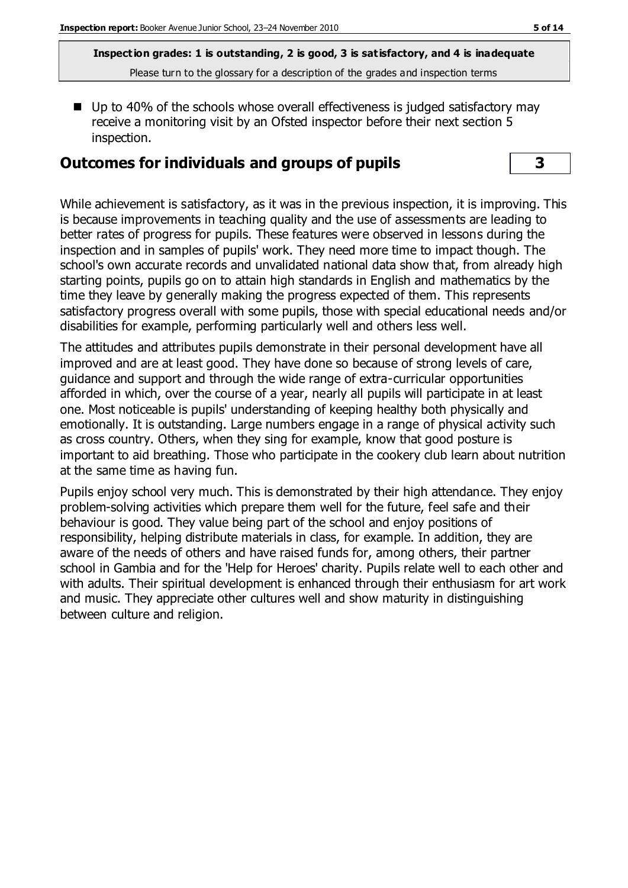$\blacksquare$  Up to 40% of the schools whose overall effectiveness is judged satisfactory may receive a monitoring visit by an Ofsted inspector before their next section 5 inspection.

### **Outcomes for individuals and groups of pupils 3**

While achievement is satisfactory, as it was in the previous inspection, it is improving. This is because improvements in teaching quality and the use of assessments are leading to better rates of progress for pupils. These features were observed in lessons during the inspection and in samples of pupils' work. They need more time to impact though. The school's own accurate records and unvalidated national data show that, from already high starting points, pupils go on to attain high standards in English and mathematics by the time they leave by generally making the progress expected of them. This represents satisfactory progress overall with some pupils, those with special educational needs and/or disabilities for example, performing particularly well and others less well.

The attitudes and attributes pupils demonstrate in their personal development have all improved and are at least good. They have done so because of strong levels of care, guidance and support and through the wide range of extra-curricular opportunities afforded in which, over the course of a year, nearly all pupils will participate in at least one. Most noticeable is pupils' understanding of keeping healthy both physically and emotionally. It is outstanding. Large numbers engage in a range of physical activity such as cross country. Others, when they sing for example, know that good posture is important to aid breathing. Those who participate in the cookery club learn about nutrition at the same time as having fun.

Pupils enjoy school very much. This is demonstrated by their high attendance. They enjoy problem-solving activities which prepare them well for the future, feel safe and their behaviour is good. They value being part of the school and enjoy positions of responsibility, helping distribute materials in class, for example. In addition, they are aware of the needs of others and have raised funds for, among others, their partner school in Gambia and for the 'Help for Heroes' charity. Pupils relate well to each other and with adults. Their spiritual development is enhanced through their enthusiasm for art work and music. They appreciate other cultures well and show maturity in distinguishing between culture and religion.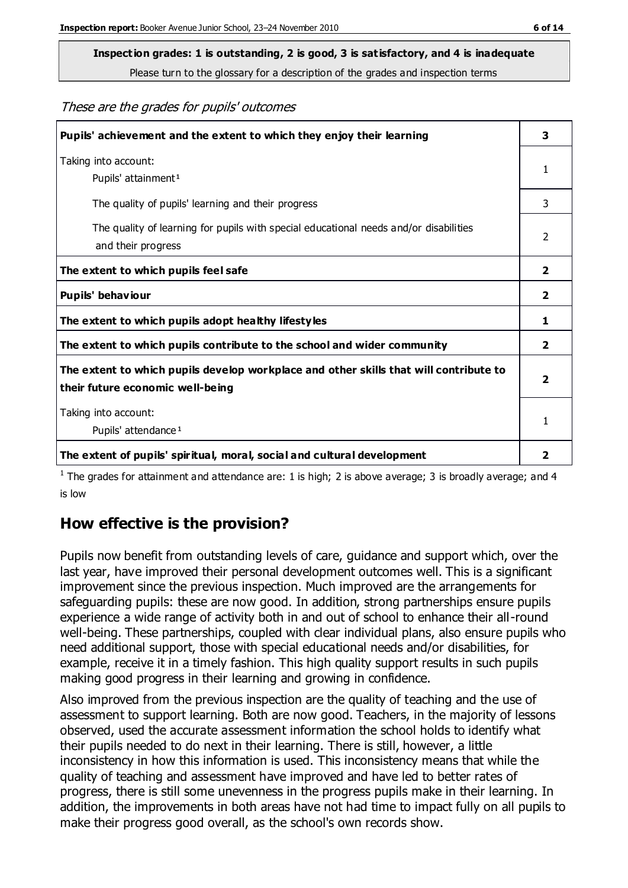# **Inspection grades: 1 is outstanding, 2 is good, 3 is satisfactory, and 4 is inadequate**

Please turn to the glossary for a description of the grades and inspection terms

These are the grades for pupils' outcomes

| Pupils' achievement and the extent to which they enjoy their learning                                                     |              |
|---------------------------------------------------------------------------------------------------------------------------|--------------|
| Taking into account:<br>Pupils' attainment <sup>1</sup>                                                                   |              |
| The quality of pupils' learning and their progress                                                                        | 3            |
| The quality of learning for pupils with special educational needs and/or disabilities<br>and their progress               |              |
| The extent to which pupils feel safe                                                                                      | 2            |
| Pupils' behaviour                                                                                                         | 2            |
| The extent to which pupils adopt healthy lifestyles                                                                       | 1            |
| The extent to which pupils contribute to the school and wider community                                                   | $\mathbf{z}$ |
| The extent to which pupils develop workplace and other skills that will contribute to<br>their future economic well-being |              |
| Taking into account:                                                                                                      |              |
| Pupils' attendance <sup>1</sup>                                                                                           | 1            |
| The extent of pupils' spiritual, moral, social and cultural development                                                   | 2            |

<sup>1</sup> The grades for attainment and attendance are: 1 is high; 2 is above average; 3 is broadly average; and 4 is low

### **How effective is the provision?**

Pupils now benefit from outstanding levels of care, guidance and support which, over the last year, have improved their personal development outcomes well. This is a significant improvement since the previous inspection. Much improved are the arrangements for safeguarding pupils: these are now good. In addition, strong partnerships ensure pupils experience a wide range of activity both in and out of school to enhance their all-round well-being. These partnerships, coupled with clear individual plans, also ensure pupils who need additional support, those with special educational needs and/or disabilities, for example, receive it in a timely fashion. This high quality support results in such pupils making good progress in their learning and growing in confidence.

Also improved from the previous inspection are the quality of teaching and the use of assessment to support learning. Both are now good. Teachers, in the majority of lessons observed, used the accurate assessment information the school holds to identify what their pupils needed to do next in their learning. There is still, however, a little inconsistency in how this information is used. This inconsistency means that while the quality of teaching and assessment have improved and have led to better rates of progress, there is still some unevenness in the progress pupils make in their learning. In addition, the improvements in both areas have not had time to impact fully on all pupils to make their progress good overall, as the school's own records show.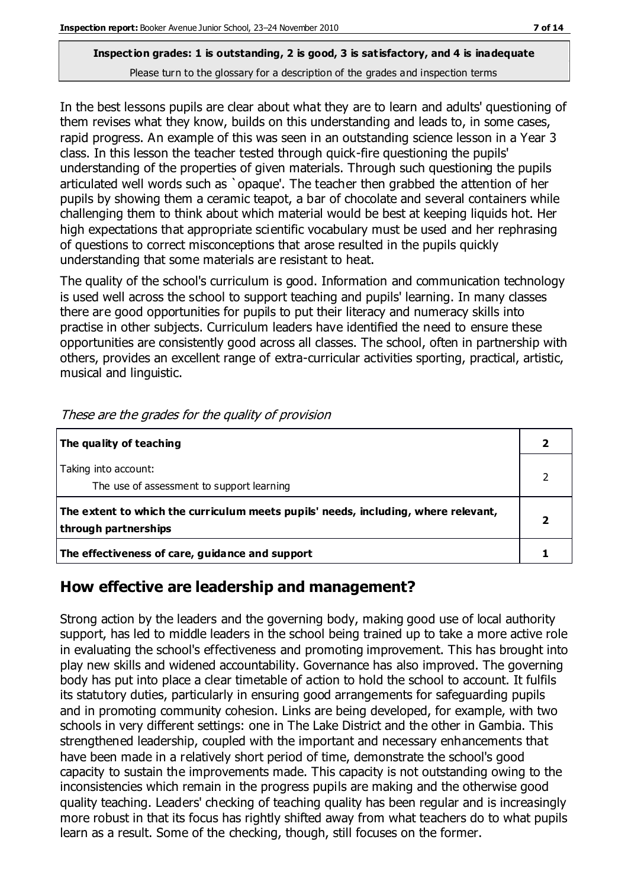In the best lessons pupils are clear about what they are to learn and adults' questioning of them revises what they know, builds on this understanding and leads to, in some cases, rapid progress. An example of this was seen in an outstanding science lesson in a Year 3 class. In this lesson the teacher tested through quick-fire questioning the pupils' understanding of the properties of given materials. Through such questioning the pupils articulated well words such as `opaque'. The teacher then grabbed the attention of her pupils by showing them a ceramic teapot, a bar of chocolate and several containers while challenging them to think about which material would be best at keeping liquids hot. Her high expectations that appropriate scientific vocabulary must be used and her rephrasing of questions to correct misconceptions that arose resulted in the pupils quickly understanding that some materials are resistant to heat.

The quality of the school's curriculum is good. Information and communication technology is used well across the school to support teaching and pupils' learning. In many classes there are good opportunities for pupils to put their literacy and numeracy skills into practise in other subjects. Curriculum leaders have identified the need to ensure these opportunities are consistently good across all classes. The school, often in partnership with others, provides an excellent range of extra-curricular activities sporting, practical, artistic, musical and linguistic.

| The quality of teaching                                                                                    |  |
|------------------------------------------------------------------------------------------------------------|--|
| Taking into account:<br>The use of assessment to support learning                                          |  |
| The extent to which the curriculum meets pupils' needs, including, where relevant,<br>through partnerships |  |
| The effectiveness of care, guidance and support                                                            |  |

These are the grades for the quality of provision

# **How effective are leadership and management?**

Strong action by the leaders and the governing body, making good use of local authority support, has led to middle leaders in the school being trained up to take a more active role in evaluating the school's effectiveness and promoting improvement. This has brought into play new skills and widened accountability. Governance has also improved. The governing body has put into place a clear timetable of action to hold the school to account. It fulfils its statutory duties, particularly in ensuring good arrangements for safeguarding pupils and in promoting community cohesion. Links are being developed, for example, with two schools in very different settings: one in The Lake District and the other in Gambia. This strengthened leadership, coupled with the important and necessary enhancements that have been made in a relatively short period of time, demonstrate the school's good capacity to sustain the improvements made. This capacity is not outstanding owing to the inconsistencies which remain in the progress pupils are making and the otherwise good quality teaching. Leaders' checking of teaching quality has been regular and is increasingly more robust in that its focus has rightly shifted away from what teachers do to what pupils learn as a result. Some of the checking, though, still focuses on the former.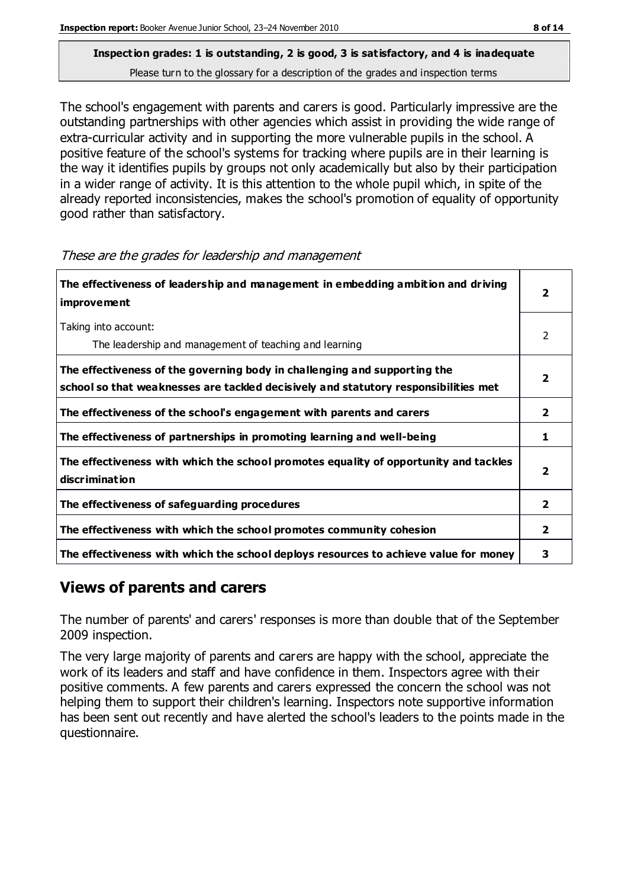The school's engagement with parents and carers is good. Particularly impressive are the outstanding partnerships with other agencies which assist in providing the wide range of extra-curricular activity and in supporting the more vulnerable pupils in the school. A positive feature of the school's systems for tracking where pupils are in their learning is the way it identifies pupils by groups not only academically but also by their participation in a wider range of activity. It is this attention to the whole pupil which, in spite of the already reported inconsistencies, makes the school's promotion of equality of opportunity good rather than satisfactory.

| The effectiveness of leadership and management in embedding ambition and driving<br><b>improvement</b>                                                           | 2                       |
|------------------------------------------------------------------------------------------------------------------------------------------------------------------|-------------------------|
| Taking into account:<br>The leadership and management of teaching and learning                                                                                   | 2                       |
| The effectiveness of the governing body in challenging and supporting the<br>school so that weaknesses are tackled decisively and statutory responsibilities met | $\overline{\mathbf{2}}$ |
| The effectiveness of the school's engagement with parents and carers                                                                                             | $\overline{2}$          |
| The effectiveness of partnerships in promoting learning and well-being                                                                                           | 1                       |
| The effectiveness with which the school promotes equality of opportunity and tackles<br><b>discrimination</b>                                                    | 2                       |
| The effectiveness of safeguarding procedures                                                                                                                     | $\overline{2}$          |
| The effectiveness with which the school promotes community cohesion                                                                                              | $\mathbf{2}$            |
| The effectiveness with which the school deploys resources to achieve value for money                                                                             | 3                       |

#### These are the grades for leadership and management

# **Views of parents and carers**

The number of parents' and carers' responses is more than double that of the September 2009 inspection.

The very large majority of parents and carers are happy with the school, appreciate the work of its leaders and staff and have confidence in them. Inspectors agree with their positive comments. A few parents and carers expressed the concern the school was not helping them to support their children's learning. Inspectors note supportive information has been sent out recently and have alerted the school's leaders to the points made in the questionnaire.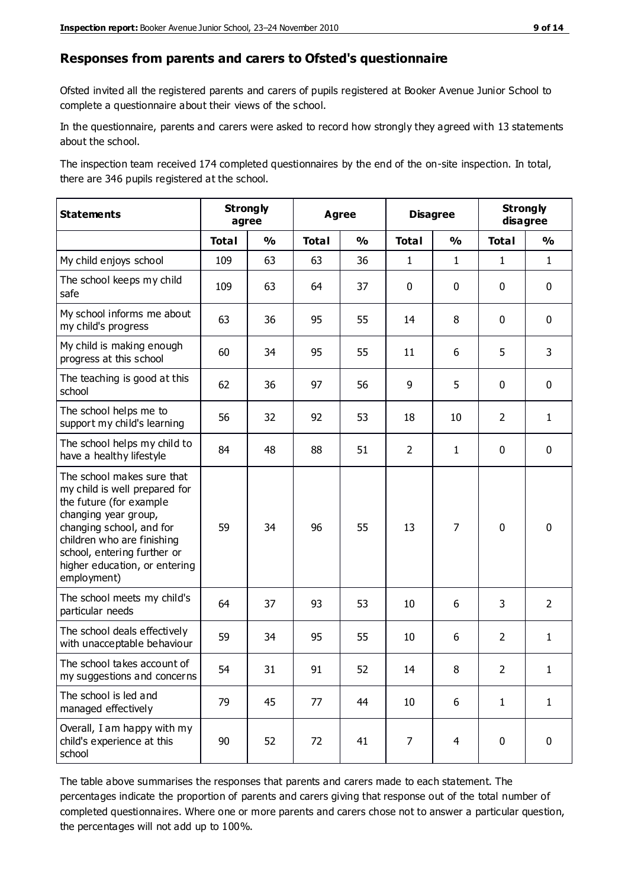#### **Responses from parents and carers to Ofsted's questionnaire**

Ofsted invited all the registered parents and carers of pupils registered at Booker Avenue Junior School to complete a questionnaire about their views of the school.

In the questionnaire, parents and carers were asked to record how strongly they agreed with 13 statements about the school.

The inspection team received 174 completed questionnaires by the end of the on-site inspection. In total, there are 346 pupils registered at the school.

| <b>Statements</b>                                                                                                                                                                                                                                       | <b>Strongly</b> | agree         | <b>Agree</b> |               | <b>Disagree</b> |                | <b>Strongly</b><br>disagree |                |
|---------------------------------------------------------------------------------------------------------------------------------------------------------------------------------------------------------------------------------------------------------|-----------------|---------------|--------------|---------------|-----------------|----------------|-----------------------------|----------------|
|                                                                                                                                                                                                                                                         | <b>Total</b>    | $\frac{1}{2}$ | <b>Total</b> | $\frac{1}{2}$ | <b>Total</b>    | $\frac{1}{2}$  | <b>Total</b>                | $\frac{1}{2}$  |
| My child enjoys school                                                                                                                                                                                                                                  | 109             | 63            | 63           | 36            | $\mathbf{1}$    | $\mathbf{1}$   | $\mathbf{1}$                | $\mathbf{1}$   |
| The school keeps my child<br>safe                                                                                                                                                                                                                       | 109             | 63            | 64           | 37            | 0               | $\mathbf 0$    | $\mathbf 0$                 | $\mathbf 0$    |
| My school informs me about<br>my child's progress                                                                                                                                                                                                       | 63              | 36            | 95           | 55            | 14              | 8              | $\mathbf 0$                 | $\mathbf 0$    |
| My child is making enough<br>progress at this school                                                                                                                                                                                                    | 60              | 34            | 95           | 55            | 11              | 6              | 5                           | 3              |
| The teaching is good at this<br>school                                                                                                                                                                                                                  | 62              | 36            | 97           | 56            | 9               | 5              | $\mathbf 0$                 | $\mathbf 0$    |
| The school helps me to<br>support my child's learning                                                                                                                                                                                                   | 56              | 32            | 92           | 53            | 18              | 10             | $\overline{2}$              | $\mathbf{1}$   |
| The school helps my child to<br>have a healthy lifestyle                                                                                                                                                                                                | 84              | 48            | 88           | 51            | $\overline{2}$  | $\mathbf{1}$   | $\mathbf 0$                 | $\mathbf 0$    |
| The school makes sure that<br>my child is well prepared for<br>the future (for example<br>changing year group,<br>changing school, and for<br>children who are finishing<br>school, entering further or<br>higher education, or entering<br>employment) | 59              | 34            | 96           | 55            | 13              | 7              | $\mathbf 0$                 | $\mathbf 0$    |
| The school meets my child's<br>particular needs                                                                                                                                                                                                         | 64              | 37            | 93           | 53            | 10              | 6              | 3                           | $\overline{2}$ |
| The school deals effectively<br>with unacceptable behaviour                                                                                                                                                                                             | 59              | 34            | 95           | 55            | 10              | 6              | $\overline{2}$              | $\mathbf{1}$   |
| The school takes account of<br>my suggestions and concerns                                                                                                                                                                                              | 54              | 31            | 91           | 52            | 14              | 8              | $\overline{2}$              | 1              |
| The school is led and<br>managed effectively                                                                                                                                                                                                            | 79              | 45            | 77           | 44            | 10              | 6              | $\mathbf{1}$                | $\mathbf{1}$   |
| Overall, I am happy with my<br>child's experience at this<br>school                                                                                                                                                                                     | 90              | 52            | 72           | 41            | $\overline{7}$  | $\overline{4}$ | $\mathbf 0$                 | $\pmb{0}$      |

The table above summarises the responses that parents and carers made to each statement. The percentages indicate the proportion of parents and carers giving that response out of the total number of completed questionnaires. Where one or more parents and carers chose not to answer a particular question, the percentages will not add up to 100%.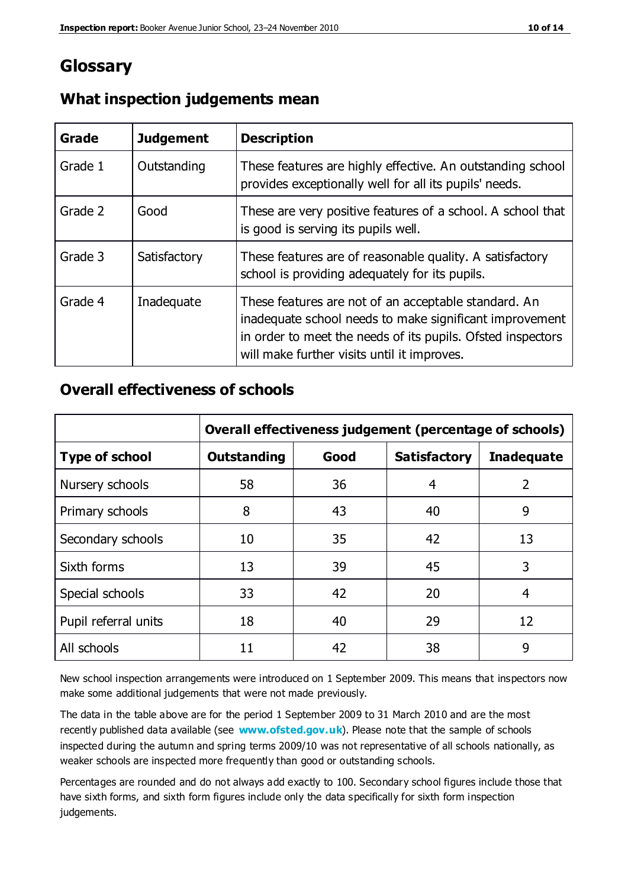# **Glossary**

| Grade   | <b>Judgement</b> | <b>Description</b>                                                                                                                                                                                                            |
|---------|------------------|-------------------------------------------------------------------------------------------------------------------------------------------------------------------------------------------------------------------------------|
| Grade 1 | Outstanding      | These features are highly effective. An outstanding school<br>provides exceptionally well for all its pupils' needs.                                                                                                          |
| Grade 2 | Good             | These are very positive features of a school. A school that<br>is good is serving its pupils well.                                                                                                                            |
| Grade 3 | Satisfactory     | These features are of reasonable quality. A satisfactory<br>school is providing adequately for its pupils.                                                                                                                    |
| Grade 4 | Inadequate       | These features are not of an acceptable standard. An<br>inadequate school needs to make significant improvement<br>in order to meet the needs of its pupils. Ofsted inspectors<br>will make further visits until it improves. |

# **What inspection judgements mean**

# **Overall effectiveness of schools**

|                       | Overall effectiveness judgement (percentage of schools) |      |                     |                   |
|-----------------------|---------------------------------------------------------|------|---------------------|-------------------|
| <b>Type of school</b> | <b>Outstanding</b>                                      | Good | <b>Satisfactory</b> | <b>Inadequate</b> |
| Nursery schools       | 58                                                      | 36   | 4                   | 2                 |
| Primary schools       | 8                                                       | 43   | 40                  | 9                 |
| Secondary schools     | 10                                                      | 35   | 42                  | 13                |
| Sixth forms           | 13                                                      | 39   | 45                  | 3                 |
| Special schools       | 33                                                      | 42   | 20                  | 4                 |
| Pupil referral units  | 18                                                      | 40   | 29                  | 12                |
| All schools           | 11                                                      | 42   | 38                  | 9                 |

New school inspection arrangements were introduced on 1 September 2009. This means that inspectors now make some additional judgements that were not made previously.

The data in the table above are for the period 1 September 2009 to 31 March 2010 and are the most recently published data available (see **[www.ofsted.gov.uk](http://www.ofsted.gov.uk/)**). Please note that the sample of schools inspected during the autumn and spring terms 2009/10 was not representative of all schools nationally, as weaker schools are inspected more frequently than good or outstanding schools.

Percentages are rounded and do not always add exactly to 100. Secondary school figures include those that have sixth forms, and sixth form figures include only the data specifically for sixth form inspection judgements.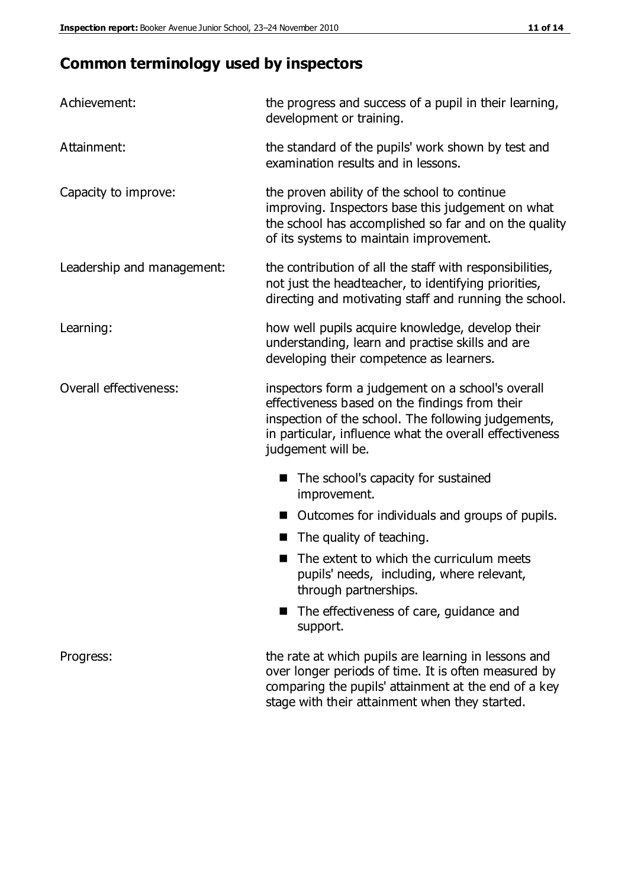# **Common terminology used by inspectors**

| Achievement:               | the progress and success of a pupil in their learning,<br>development or training.                                                                                                                                                          |  |  |
|----------------------------|---------------------------------------------------------------------------------------------------------------------------------------------------------------------------------------------------------------------------------------------|--|--|
| Attainment:                | the standard of the pupils' work shown by test and<br>examination results and in lessons.                                                                                                                                                   |  |  |
| Capacity to improve:       | the proven ability of the school to continue<br>improving. Inspectors base this judgement on what<br>the school has accomplished so far and on the quality<br>of its systems to maintain improvement.                                       |  |  |
| Leadership and management: | the contribution of all the staff with responsibilities,<br>not just the headteacher, to identifying priorities,<br>directing and motivating staff and running the school.                                                                  |  |  |
| Learning:                  | how well pupils acquire knowledge, develop their<br>understanding, learn and practise skills and are<br>developing their competence as learners.                                                                                            |  |  |
| Overall effectiveness:     | inspectors form a judgement on a school's overall<br>effectiveness based on the findings from their<br>inspection of the school. The following judgements,<br>in particular, influence what the overall effectiveness<br>judgement will be. |  |  |
|                            | The school's capacity for sustained<br>improvement.                                                                                                                                                                                         |  |  |
|                            | Outcomes for individuals and groups of pupils.                                                                                                                                                                                              |  |  |
|                            | The quality of teaching.                                                                                                                                                                                                                    |  |  |
|                            | The extent to which the curriculum meets<br>pupils' needs, including, where relevant,<br>through partnerships.                                                                                                                              |  |  |
|                            | The effectiveness of care, guidance and<br>support.                                                                                                                                                                                         |  |  |
| Progress:                  | the rate at which pupils are learning in lessons and<br>over longer periods of time. It is often measured by<br>comparing the pupils' attainment at the end of a key                                                                        |  |  |

stage with their attainment when they started.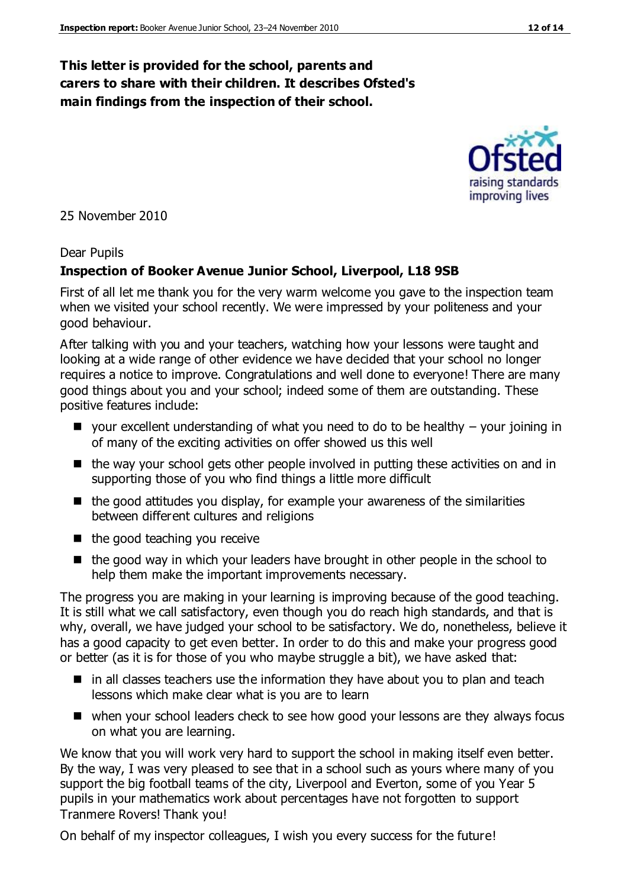### **This letter is provided for the school, parents and carers to share with their children. It describes Ofsted's main findings from the inspection of their school.**

25 November 2010

#### Dear Pupils

#### **Inspection of Booker Avenue Junior School, Liverpool, L18 9SB**

First of all let me thank you for the very warm welcome you gave to the inspection team when we visited your school recently. We were impressed by your politeness and your good behaviour.

After talking with you and your teachers, watching how your lessons were taught and looking at a wide range of other evidence we have decided that your school no longer requires a notice to improve. Congratulations and well done to everyone! There are many good things about you and your school; indeed some of them are outstanding. These positive features include:

- $\blacksquare$  your excellent understanding of what you need to do to be healthy  $-$  your joining in of many of the exciting activities on offer showed us this well
- the way your school gets other people involved in putting these activities on and in supporting those of you who find things a little more difficult
- $\blacksquare$  the good attitudes you display, for example your awareness of the similarities between different cultures and religions
- $\blacksquare$  the good teaching you receive
- $\blacksquare$  the good way in which your leaders have brought in other people in the school to help them make the important improvements necessary.

The progress you are making in your learning is improving because of the good teaching. It is still what we call satisfactory, even though you do reach high standards, and that is why, overall, we have judged your school to be satisfactory. We do, nonetheless, believe it has a good capacity to get even better. In order to do this and make your progress good or better (as it is for those of you who maybe struggle a bit), we have asked that:

- $\blacksquare$  in all classes teachers use the information they have about you to plan and teach lessons which make clear what is you are to learn
- when your school leaders check to see how good your lessons are they always focus on what you are learning.

We know that you will work very hard to support the school in making itself even better. By the way, I was very pleased to see that in a school such as yours where many of you support the big football teams of the city, Liverpool and Everton, some of you Year 5 pupils in your mathematics work about percentages have not forgotten to support Tranmere Rovers! Thank you!

On behalf of my inspector colleagues, I wish you every success for the future!

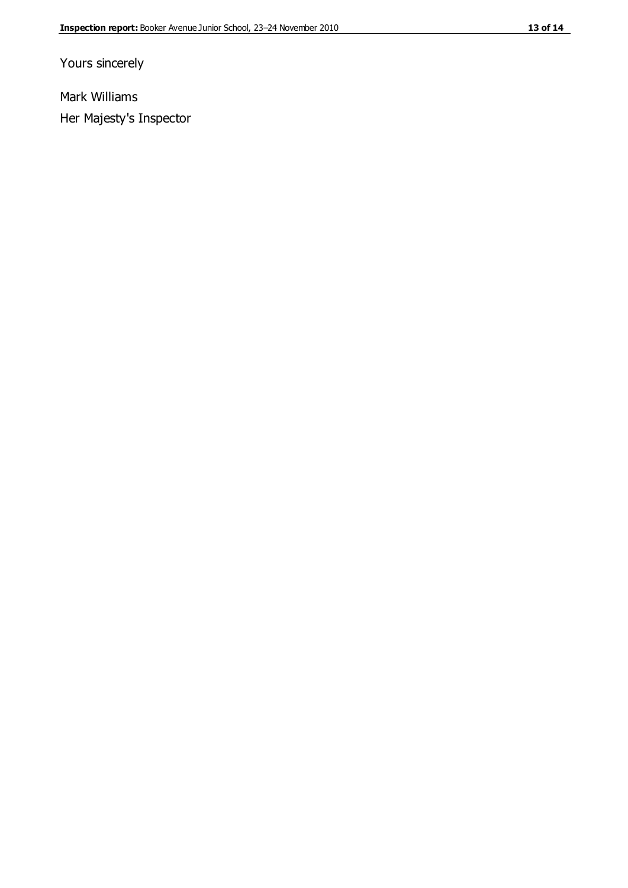Yours sincerely

Mark Williams Her Majesty's Inspector